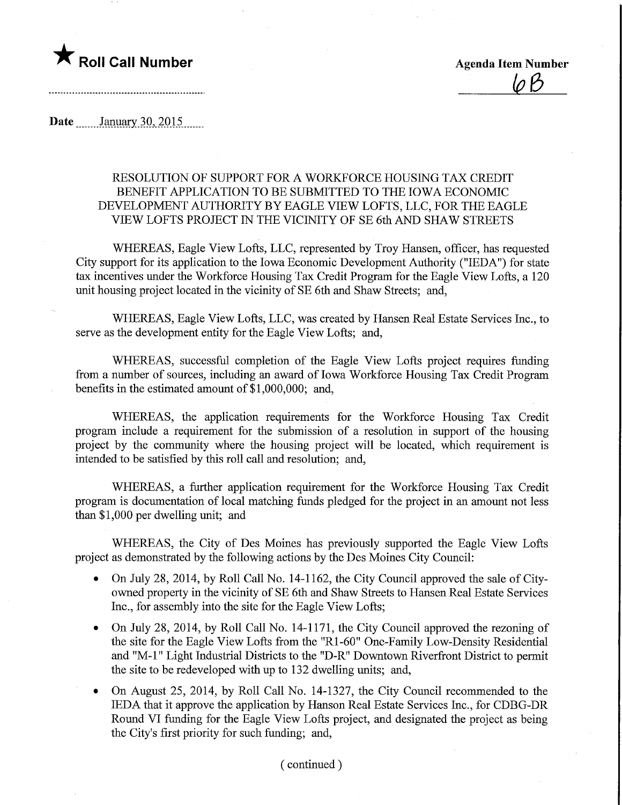

 $10B$ 

Date ........January 30, 2015.......

## RESOLUTION OF SUPPORT FOR A WORKFORCE HOUSING TAX CREDIT BENEFIT APPLICATION TO BE SUBMITTED TO THE IOWA ECONOMIC DEVELOPMENT AUTHORITY BY EAGLE VIEW LOFTS, LLC, FOR THE EAGLE VIEW LOFTS PROJECT IN THE VICINITY OF SE 6th AND SHAW STREETS

WHEREAS, Eagle View Lofts, LLC, represented by Troy Hansen, officer, has requested City support for its application to the Iowa Economic Development Authority ("IEDA") for state tax incentives under the Workforce Housing Tax Credit Program for the Eagle View Lofts, a 120 unit housing project located in the vicinity of SE 6th and Shaw Streets; and,

WHEREAS, Eagle View Lofts, LLC, was created by Hansen Real Estate Services Inc., to serve as the development entity for the Eagle View Lofts; and,

WHEREAS, successful completion of the Eagle View Lofts project requires funding from a number of sources, including an award of Iowa Workforce Housing Tax Credit Program benefits in the estimated amount of \$1,000,000; and,

WHEREAS, the application requirements for the Workforce Housing Tax Credit program include a requirement for the submission of a resolution in support of the housing project by the comnuuiity where the housing project will be located, which requirement is intended to be satisfied by this roll call and resolution; and,

WHEREAS, a further application requirement for the Workforce Housing Tax Credit program is documentation of local matching funds pledged for the project in an amount not less than \$1,000 per dwelling unit; and

WHEREAS, the City of Des Moines has previously supported the Eagle View Lofts project as demonstrated by the following actions by the Des Moines City Council:

- On July 28, 2014, by Roll Call No. 14-1162, the City Council approved the sale of Cityowned property in the vicinity of SE 6th and Shaw Streets to Hansen Real Estate Services Inc., for assembly into the site for the Eagle View Lofts;
- On July 28, 2014, by Roll Call No. 14-1171, the City Council approved the rezoning of the site for the Eagle View Lofts from the "Rl-60" One-Family Low-Density Residential and "M-l" Light Industrial Districts to the "D-R" Downtown Riverfront District to permit the site to be redeveloped with up to 132 dwelling units; and,
- On August 25, 2014, by Roll Call No. 14-1327, the City Council recommended to the IEDA that it approve the application by Hanson Real Estate Services Inc., for CDBG-DR Round VI fimding for the Eagle View Lofts project, and designated the project as being the City's first priority for such funding; and,

## (continued)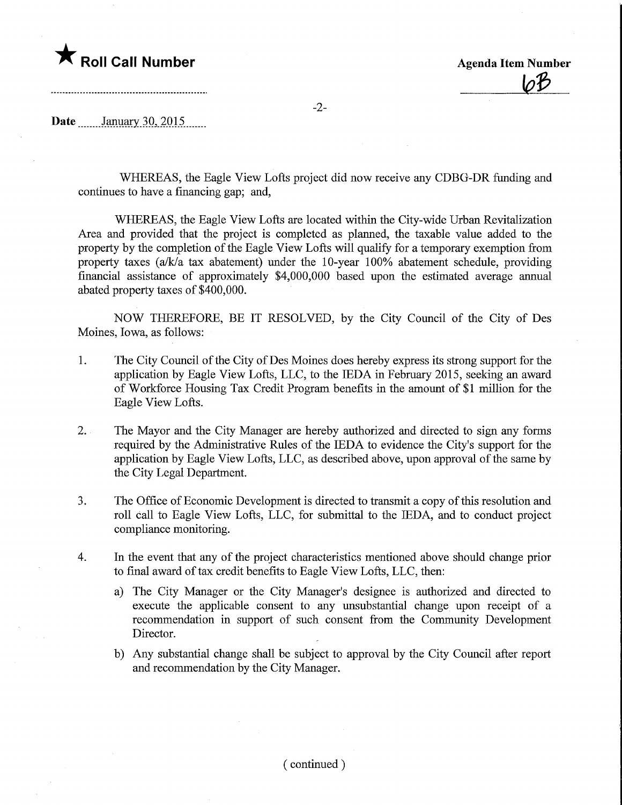

-2-

Date <u>January 30, 2015</u>

WHEREAS, the Eagle View Lofts project did now receive any CDBG-DR funding and continues to have a financing gap; and,

WHEREAS, the Eagle View Lofts are located within the City-wide Urban Revitalization Area and provided that the project is completed as planned, the taxable value added to the property by the completion of the Eagle View Lofts will qualify for a temporary exemption from property taxes (a/k/a tax abatement) under the 10-year 100% abatement schedule, providing financial assistance of approximately \$4,000,000 based upon the estimated average annual abated property taxes of \$400,000.

NOW THEREFORE, BE IT RESOLVED, by the City Council of the City of Des Moines, Iowa, as follows:

- 1. The City Council of the City of Des Moines does hereby express its strong support for the application by Eagle View Lofts, LLC, to the IEDA in Febmary 2015, seeking an award of Workforce Housing Tax Credit Program benefits in the amount of \$1 million for the Eagle View Lofts.
- 2. The Mayor and the City Manager are hereby authorized and directed to sign any forms required by the Administrative Rules of the IEDA to evidence the City's support for the application by Eagle View Lofts, LLC, as described above, upon approval of the same by the City Legal Department.
- 3. The Office of Economic Development is directed to transmit a copy of this resolution and roll call to Eagle View Lofts, LLC, for submittal to the IEDA, and to conduct project compliance monitoring.
- 4. In the event that any of the project characteristics mentioned above should change prior to final award of tax credit benefits to Eagle View Lofts, LLC, then:
	- a) The City Manager or the City Manager's designee is authorized and directed to execute the applicable consent to any unsubstantial change upon receipt of a recommendation in support of such consent from the Community Development Director.
	- b) Any substantial change shall be subject to approval by the City Council after report and recommendation by the City Manager.